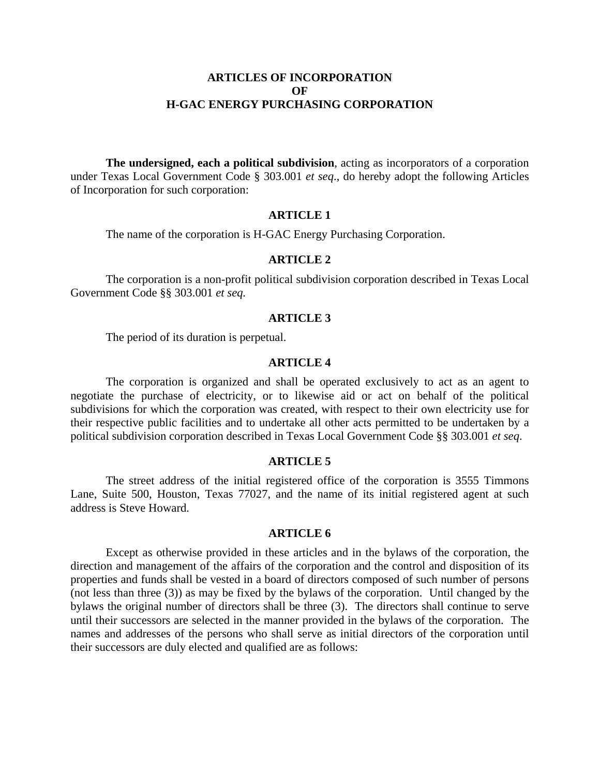## **ARTICLES OF INCORPORATION OF H-GAC ENERGY PURCHASING CORPORATION**

**The undersigned, each a political subdivision**, acting as incorporators of a corporation under Texas Local Government Code § 303.001 *et seq*., do hereby adopt the following Articles of Incorporation for such corporation:

## **ARTICLE 1**

The name of the corporation is H-GAC Energy Purchasing Corporation.

### **ARTICLE 2**

The corporation is a non-profit political subdivision corporation described in Texas Local Government Code §§ 303.001 *et seq.*

## **ARTICLE 3**

The period of its duration is perpetual.

### **ARTICLE 4**

The corporation is organized and shall be operated exclusively to act as an agent to negotiate the purchase of electricity, or to likewise aid or act on behalf of the political subdivisions for which the corporation was created, with respect to their own electricity use for their respective public facilities and to undertake all other acts permitted to be undertaken by a political subdivision corporation described in Texas Local Government Code §§ 303.001 *et seq*.

#### **ARTICLE 5**

The street address of the initial registered office of the corporation is 3555 Timmons Lane, Suite 500, Houston, Texas 77027, and the name of its initial registered agent at such address is Steve Howard.

# **ARTICLE 6**

Except as otherwise provided in these articles and in the bylaws of the corporation, the direction and management of the affairs of the corporation and the control and disposition of its properties and funds shall be vested in a board of directors composed of such number of persons (not less than three (3)) as may be fixed by the bylaws of the corporation. Until changed by the bylaws the original number of directors shall be three (3). The directors shall continue to serve until their successors are selected in the manner provided in the bylaws of the corporation. The names and addresses of the persons who shall serve as initial directors of the corporation until their successors are duly elected and qualified are as follows: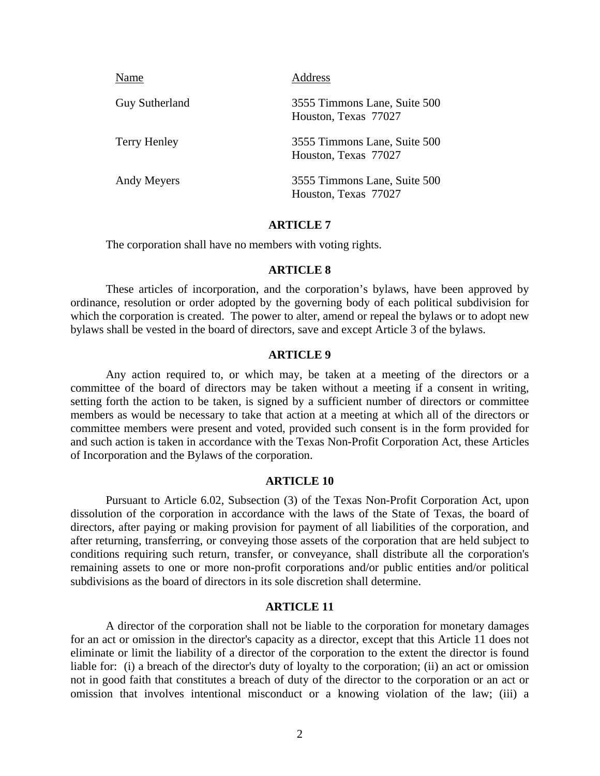| Name                  | Address                                              |
|-----------------------|------------------------------------------------------|
| <b>Guy Sutherland</b> | 3555 Timmons Lane, Suite 500<br>Houston, Texas 77027 |
| Terry Henley          | 3555 Timmons Lane, Suite 500<br>Houston, Texas 77027 |
| Andy Meyers           | 3555 Timmons Lane, Suite 500<br>Houston, Texas 77027 |

### **ARTICLE 7**

The corporation shall have no members with voting rights.

## **ARTICLE 8**

These articles of incorporation, and the corporation's bylaws, have been approved by ordinance, resolution or order adopted by the governing body of each political subdivision for which the corporation is created. The power to alter, amend or repeal the bylaws or to adopt new bylaws shall be vested in the board of directors, save and except Article 3 of the bylaws.

### **ARTICLE 9**

Any action required to, or which may, be taken at a meeting of the directors or a committee of the board of directors may be taken without a meeting if a consent in writing, setting forth the action to be taken, is signed by a sufficient number of directors or committee members as would be necessary to take that action at a meeting at which all of the directors or committee members were present and voted, provided such consent is in the form provided for and such action is taken in accordance with the Texas Non-Profit Corporation Act, these Articles of Incorporation and the Bylaws of the corporation.

### **ARTICLE 10**

Pursuant to Article 6.02, Subsection (3) of the Texas Non-Profit Corporation Act, upon dissolution of the corporation in accordance with the laws of the State of Texas, the board of directors, after paying or making provision for payment of all liabilities of the corporation, and after returning, transferring, or conveying those assets of the corporation that are held subject to conditions requiring such return, transfer, or conveyance, shall distribute all the corporation's remaining assets to one or more non-profit corporations and/or public entities and/or political subdivisions as the board of directors in its sole discretion shall determine.

### **ARTICLE 11**

A director of the corporation shall not be liable to the corporation for monetary damages for an act or omission in the director's capacity as a director, except that this Article 11 does not eliminate or limit the liability of a director of the corporation to the extent the director is found liable for: (i) a breach of the director's duty of loyalty to the corporation; (ii) an act or omission not in good faith that constitutes a breach of duty of the director to the corporation or an act or omission that involves intentional misconduct or a knowing violation of the law; (iii) a